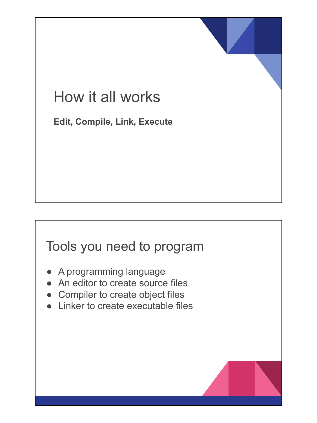# How it all works

**Edit, Compile, Link, Execute**

#### Tools you need to program

- A programming language
- An editor to create source files
- Compiler to create object files
- Linker to create executable files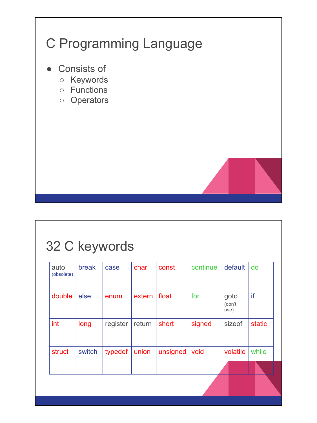

## 32 C keywords

| auto<br>(obsolete) | break  | case     | char   | const    | continue | default                | do     |
|--------------------|--------|----------|--------|----------|----------|------------------------|--------|
| double             | else   | enum     | extern | float    | for      | goto<br>(don't<br>use) | if     |
| int                | long   | register | return | short    | signed   | sizeof                 | static |
| struct             | switch | typedef  | union  | unsigned | void     | volatile               | while  |
|                    |        |          |        |          |          |                        |        |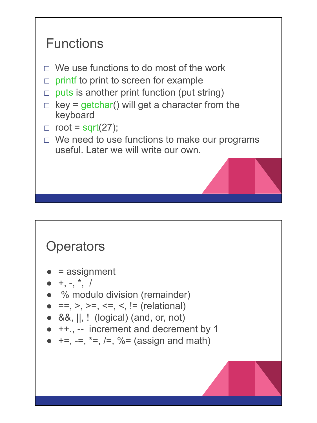### **Functions**

- $\Box$  We use functions to do most of the work
- $\Box$  print to print to screen for example
- $\Box$  puts is another print function (put string)
- $\Box$  key = getchar() will get a character from the keyboard
- $\Box$  root = sqrt(27);
- $\Box$  We need to use functions to make our programs useful. Later we will write our own.

#### **Operators**

- $\bullet$  = assignment
- $\bullet$  +, -,  $\star$ , /
- % modulo division (remainder)
- $\bullet$  ==, >, >=, <=, <, != (relational)
- $\bullet$  &&,  $||,$  ! (logical) (and, or, not)
- ++., -- increment and decrement by 1
- $\bullet$  +=, -=,  $\ast$ =,  $\prime$ =,  $\%$ = (assign and math)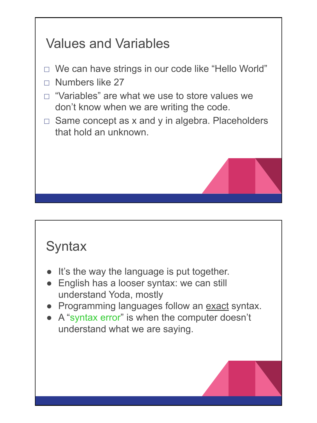## Values and Variables

- $\Box$  We can have strings in our code like "Hello World"
- $\neg$  Numbers like 27
- $\Box$  "Variables" are what we use to store values we don't know when we are writing the code.
- $\Box$  Same concept as x and y in algebra. Placeholders that hold an unknown.

#### **Syntax**

- It's the way the language is put together.
- English has a looser syntax: we can still understand Yoda, mostly
- Programming languages follow an exact syntax.
- A "syntax error" is when the computer doesn't understand what we are saying.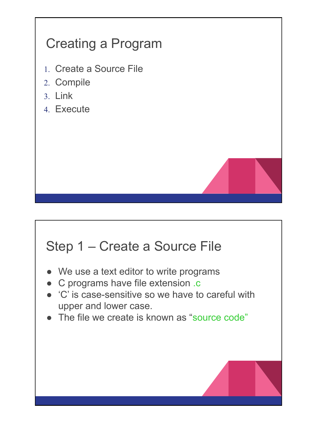## Creating a Program

- 1. Create a Source File
- 2. Compile
- 3. Link
- 4. Execute

### Step 1 – Create a Source File

- We use a text editor to write programs
- C programs have file extension .c
- 'C' is case-sensitive so we have to careful with upper and lower case.
- The file we create is known as "source code"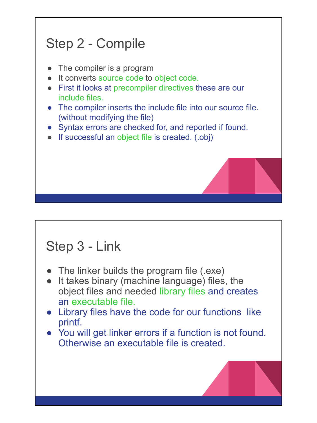## Step 2 - Compile

- The compiler is a program
- It converts source code to object code.
- First it looks at precompiler directives these are our include files.
- The compiler inserts the include file into our source file. (without modifying the file)
- Syntax errors are checked for, and reported if found.
- If successful an object file is created. (.obj)

#### Step 3 - Link

- The linker builds the program file (.exe)
- It takes binary (machine language) files, the object files and needed library files and creates an executable file.
- Library files have the code for our functions like printf.
- You will get linker errors if a function is not found. Otherwise an executable file is created.